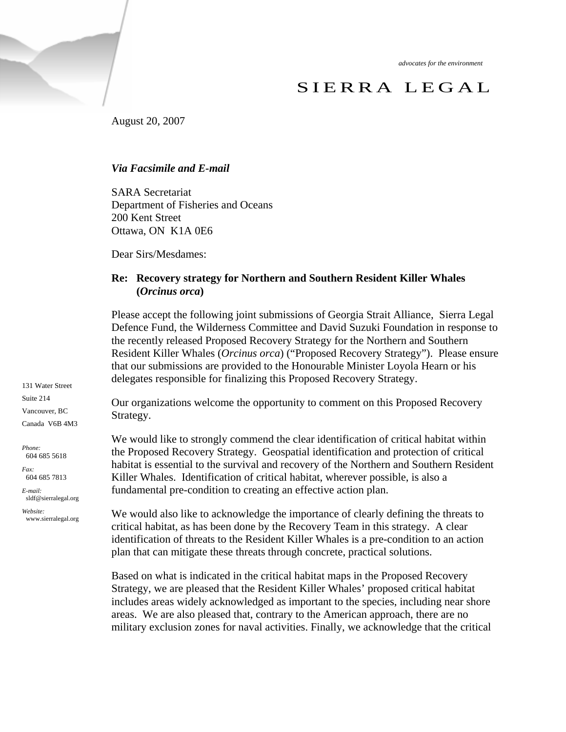*advocates for the environment* 

# SIERRA LEGAL

August 20, 2007

## *Via Facsimile and E-mail*

SARA Secretariat Department of Fisheries and Oceans 200 Kent Street Ottawa, ON K1A 0E6

Dear Sirs/Mesdames:

## **Re: Recovery strategy for Northern and Southern Resident Killer Whales (***Orcinus orca***)**

Please accept the following joint submissions of Georgia Strait Alliance, Sierra Legal Defence Fund, the Wilderness Committee and David Suzuki Foundation in response to the recently released Proposed Recovery Strategy for the Northern and Southern Resident Killer Whales (*Orcinus orca*) ("Proposed Recovery Strategy"). Please ensure that our submissions are provided to the Honourable Minister Loyola Hearn or his delegates responsible for finalizing this Proposed Recovery Strategy.

Our organizations welcome the opportunity to comment on this Proposed Recovery Strategy.

We would like to strongly commend the clear identification of critical habitat within the Proposed Recovery Strategy. Geospatial identification and protection of critical habitat is essential to the survival and recovery of the Northern and Southern Resident Killer Whales. Identification of critical habitat, wherever possible, is also a fundamental pre-condition to creating an effective action plan.

We would also like to acknowledge the importance of clearly defining the threats to critical habitat, as has been done by the Recovery Team in this strategy. A clear identification of threats to the Resident Killer Whales is a pre-condition to an action plan that can mitigate these threats through concrete, practical solutions.

Based on what is indicated in the critical habitat maps in the Proposed Recovery Strategy, we are pleased that the Resident Killer Whales' proposed critical habitat includes areas widely acknowledged as important to the species, including near shore areas. We are also pleased that, contrary to the American approach, there are no military exclusion zones for naval activities. Finally, we acknowledge that the critical

131 Water Street Suite 214 Vancouver, BC Canada V6B 4M3

*Phone:*  604 685 5618

*Fax:*  604 685 7813

*E-mail:*  sldf@sierralegal.org

*Website:* www.sierralegal.org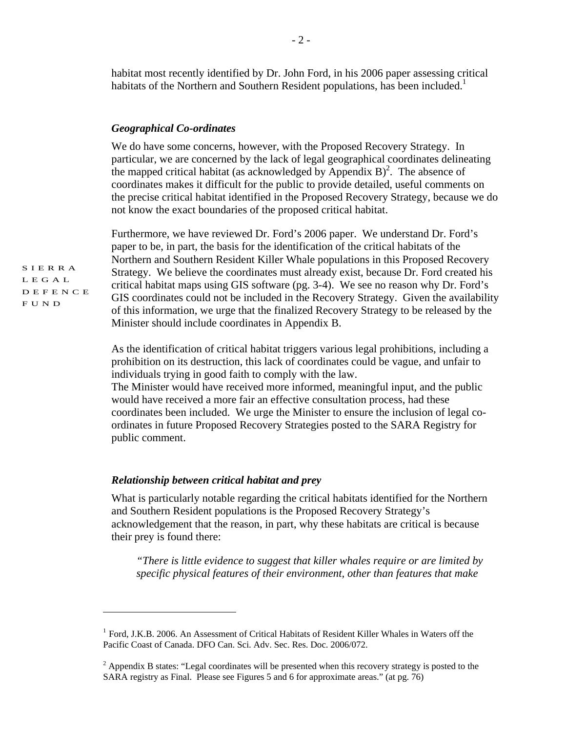habitat most recently identified by Dr. John Ford, in his 2006 paper assessing critical habitats of the Northern and Southern Resident populations, has been included.<sup>1</sup>

#### *Geographical Co-ordinates*

We do have some concerns, however, with the Proposed Recovery Strategy. In particular, we are concerned by the lack of legal geographical coordinates delineating the mapped critical habitat (as acknowledged by Appendix B)<sup>2</sup>. The absence of coordinates makes it difficult for the public to provide detailed, useful comments on the precise critical habitat identified in the Proposed Recovery Strategy, because we do not know the exact boundaries of the proposed critical habitat.

Furthermore, we have reviewed Dr. Ford's 2006 paper. We understand Dr. Ford's paper to be, in part, the basis for the identification of the critical habitats of the Northern and Southern Resident Killer Whale populations in this Proposed Recovery Strategy. We believe the coordinates must already exist, because Dr. Ford created his critical habitat maps using GIS software (pg. 3-4). We see no reason why Dr. Ford's GIS coordinates could not be included in the Recovery Strategy. Given the availability of this information, we urge that the finalized Recovery Strategy to be released by the Minister should include coordinates in Appendix B.

As the identification of critical habitat triggers various legal prohibitions, including a prohibition on its destruction, this lack of coordinates could be vague, and unfair to individuals trying in good faith to comply with the law.

The Minister would have received more informed, meaningful input, and the public would have received a more fair an effective consultation process, had these coordinates been included. We urge the Minister to ensure the inclusion of legal coordinates in future Proposed Recovery Strategies posted to the SARA Registry for public comment.

### *Relationship between critical habitat and prey*

What is particularly notable regarding the critical habitats identified for the Northern and Southern Resident populations is the Proposed Recovery Strategy's acknowledgement that the reason, in part, why these habitats are critical is because their prey is found there:

*"There is little evidence to suggest that killer whales require or are limited by specific physical features of their environment, other than features that make* 

SIERRA LEGAL DEFENCE FUND

 $\overline{a}$ 

<sup>&</sup>lt;sup>1</sup> Ford, J.K.B. 2006. An Assessment of Critical Habitats of Resident Killer Whales in Waters off the Pacific Coast of Canada. DFO Can. Sci. Adv. Sec. Res. Doc. 2006/072.

 $2$  Appendix B states: "Legal coordinates will be presented when this recovery strategy is posted to the SARA registry as Final. Please see Figures 5 and 6 for approximate areas." (at pg. 76)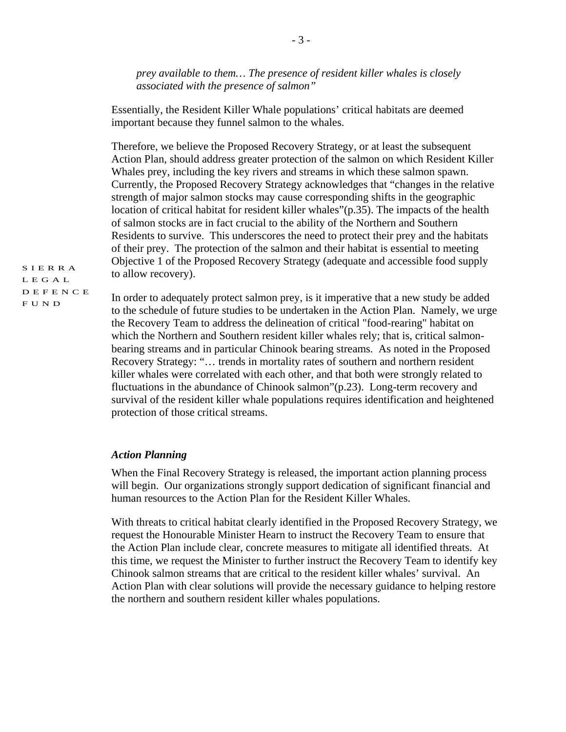*prey available to them… The presence of resident killer whales is closely associated with the presence of salmon"* 

Essentially, the Resident Killer Whale populations' critical habitats are deemed important because they funnel salmon to the whales.

Therefore, we believe the Proposed Recovery Strategy, or at least the subsequent Action Plan, should address greater protection of the salmon on which Resident Killer Whales prey, including the key rivers and streams in which these salmon spawn. Currently, the Proposed Recovery Strategy acknowledges that "changes in the relative strength of major salmon stocks may cause corresponding shifts in the geographic location of critical habitat for resident killer whales"(p.35). The impacts of the health of salmon stocks are in fact crucial to the ability of the Northern and Southern Residents to survive. This underscores the need to protect their prey and the habitats of their prey. The protection of the salmon and their habitat is essential to meeting Objective 1 of the Proposed Recovery Strategy (adequate and accessible food supply to allow recovery).

SIERRA LEGAL DEFENCE FUND

In order to adequately protect salmon prey, is it imperative that a new study be added to the schedule of future studies to be undertaken in the Action Plan. Namely, we urge the Recovery Team to address the delineation of critical "food-rearing" habitat on which the Northern and Southern resident killer whales rely; that is, critical salmonbearing streams and in particular Chinook bearing streams. As noted in the Proposed Recovery Strategy: "… trends in mortality rates of southern and northern resident killer whales were correlated with each other, and that both were strongly related to fluctuations in the abundance of Chinook salmon"(p.23). Long-term recovery and survival of the resident killer whale populations requires identification and heightened protection of those critical streams.

## *Action Planning*

When the Final Recovery Strategy is released, the important action planning process will begin. Our organizations strongly support dedication of significant financial and human resources to the Action Plan for the Resident Killer Whales.

With threats to critical habitat clearly identified in the Proposed Recovery Strategy, we request the Honourable Minister Hearn to instruct the Recovery Team to ensure that the Action Plan include clear, concrete measures to mitigate all identified threats. At this time, we request the Minister to further instruct the Recovery Team to identify key Chinook salmon streams that are critical to the resident killer whales' survival. An Action Plan with clear solutions will provide the necessary guidance to helping restore the northern and southern resident killer whales populations.